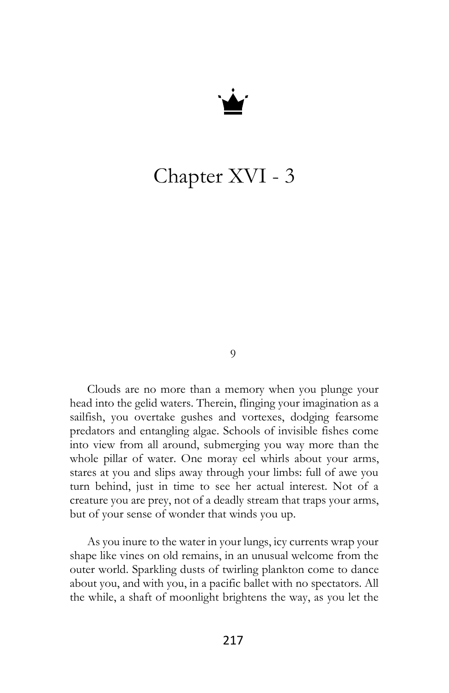

## Chapter XVI - 3

9

Clouds are no more than a memory when you plunge your head into the gelid waters. Therein, flinging your imagination as a sailfish, you overtake gushes and vortexes, dodging fearsome predators and entangling algae. Schools of invisible fishes come into view from all around, submerging you way more than the whole pillar of water. One moray eel whirls about your arms, stares at you and slips away through your limbs: full of awe you turn behind, just in time to see her actual interest. Not of a creature you are prey, not of a deadly stream that traps your arms, but of your sense of wonder that winds you up.

As you inure to the water in your lungs, icy currents wrap your shape like vines on old remains, in an unusual welcome from the outer world. Sparkling dusts of twirling plankton come to dance about you, and with you, in a pacific ballet with no spectators. All the while, a shaft of moonlight brightens the way, as you let the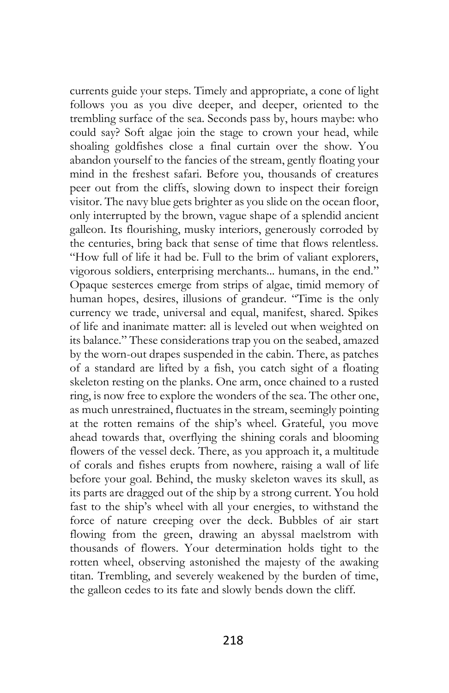currents guide your steps. Timely and appropriate, a cone of light follows you as you dive deeper, and deeper, oriented to the trembling surface of the sea. Seconds pass by, hours maybe: who could say? Soft algae join the stage to crown your head, while shoaling goldfishes close a final curtain over the show. You abandon yourself to the fancies of the stream, gently floating your mind in the freshest safari. Before you, thousands of creatures peer out from the cliffs, slowing down to inspect their foreign visitor. The navy blue gets brighter as you slide on the ocean floor, only interrupted by the brown, vague shape of a splendid ancient galleon. Its flourishing, musky interiors, generously corroded by the centuries, bring back that sense of time that flows relentless. "How full of life it had be. Full to the brim of valiant explorers, vigorous soldiers, enterprising merchants... humans, in the end." Opaque sesterces emerge from strips of algae, timid memory of human hopes, desires, illusions of grandeur. "Time is the only currency we trade, universal and equal, manifest, shared. Spikes of life and inanimate matter: all is leveled out when weighted on its balance." These considerations trap you on the seabed, amazed by the worn-out drapes suspended in the cabin. There, as patches of a standard are lifted by a fish, you catch sight of a floating skeleton resting on the planks. One arm, once chained to a rusted ring, is now free to explore the wonders of the sea. The other one, as much unrestrained, fluctuates in the stream, seemingly pointing at the rotten remains of the ship's wheel. Grateful, you move ahead towards that, overflying the shining corals and blooming flowers of the vessel deck. There, as you approach it, a multitude of corals and fishes erupts from nowhere, raising a wall of life before your goal. Behind, the musky skeleton waves its skull, as its parts are dragged out of the ship by a strong current. You hold fast to the ship's wheel with all your energies, to withstand the force of nature creeping over the deck. Bubbles of air start flowing from the green, drawing an abyssal maelstrom with thousands of flowers. Your determination holds tight to the rotten wheel, observing astonished the majesty of the awaking titan. Trembling, and severely weakened by the burden of time, the galleon cedes to its fate and slowly bends down the cliff.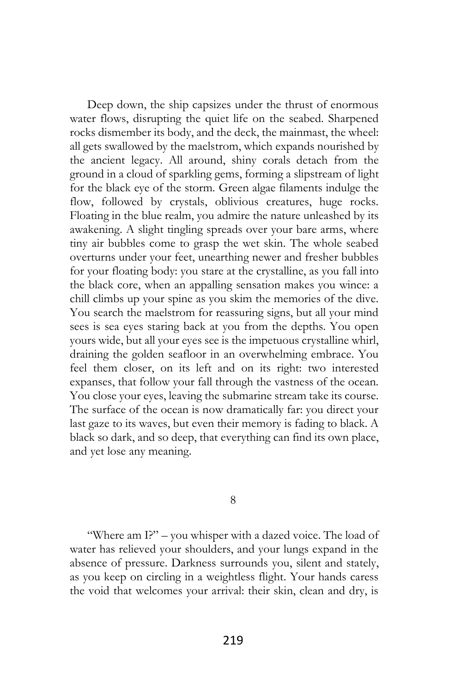Deep down, the ship capsizes under the thrust of enormous water flows, disrupting the quiet life on the seabed. Sharpened rocks dismember its body, and the deck, the mainmast, the wheel: all gets swallowed by the maelstrom, which expands nourished by the ancient legacy. All around, shiny corals detach from the ground in a cloud of sparkling gems, forming a slipstream of light for the black eye of the storm. Green algae filaments indulge the flow, followed by crystals, oblivious creatures, huge rocks. Floating in the blue realm, you admire the nature unleashed by its awakening. A slight tingling spreads over your bare arms, where tiny air bubbles come to grasp the wet skin. The whole seabed overturns under your feet, unearthing newer and fresher bubbles for your floating body: you stare at the crystalline, as you fall into the black core, when an appalling sensation makes you wince: a chill climbs up your spine as you skim the memories of the dive. You search the maelstrom for reassuring signs, but all your mind sees is sea eyes staring back at you from the depths. You open yours wide, but all your eyes see is the impetuous crystalline whirl, draining the golden seafloor in an overwhelming embrace. You feel them closer, on its left and on its right: two interested expanses, that follow your fall through the vastness of the ocean. You close your eyes, leaving the submarine stream take its course. The surface of the ocean is now dramatically far: you direct your last gaze to its waves, but even their memory is fading to black. A black so dark, and so deep, that everything can find its own place, and yet lose any meaning.

8

"Where am I?" – you whisper with a dazed voice. The load of water has relieved your shoulders, and your lungs expand in the absence of pressure. Darkness surrounds you, silent and stately, as you keep on circling in a weightless flight. Your hands caress the void that welcomes your arrival: their skin, clean and dry, is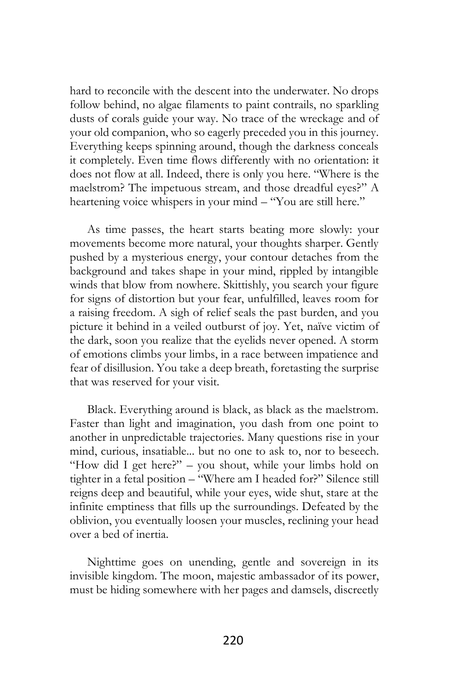hard to reconcile with the descent into the underwater. No drops follow behind, no algae filaments to paint contrails, no sparkling dusts of corals guide your way. No trace of the wreckage and of your old companion, who so eagerly preceded you in this journey. Everything keeps spinning around, though the darkness conceals it completely. Even time flows differently with no orientation: it does not flow at all. Indeed, there is only you here. "Where is the maelstrom? The impetuous stream, and those dreadful eyes?" A heartening voice whispers in your mind – "You are still here."

As time passes, the heart starts beating more slowly: your movements become more natural, your thoughts sharper. Gently pushed by a mysterious energy, your contour detaches from the background and takes shape in your mind, rippled by intangible winds that blow from nowhere. Skittishly, you search your figure for signs of distortion but your fear, unfulfilled, leaves room for a raising freedom. A sigh of relief seals the past burden, and you picture it behind in a veiled outburst of joy. Yet, naïve victim of the dark, soon you realize that the eyelids never opened. A storm of emotions climbs your limbs, in a race between impatience and fear of disillusion. You take a deep breath, foretasting the surprise that was reserved for your visit.

Black. Everything around is black, as black as the maelstrom. Faster than light and imagination, you dash from one point to another in unpredictable trajectories. Many questions rise in your mind, curious, insatiable... but no one to ask to, nor to beseech. "How did I get here?" – you shout, while your limbs hold on tighter in a fetal position – "Where am I headed for?" Silence still reigns deep and beautiful, while your eyes, wide shut, stare at the infinite emptiness that fills up the surroundings. Defeated by the oblivion, you eventually loosen your muscles, reclining your head over a bed of inertia.

Nighttime goes on unending, gentle and sovereign in its invisible kingdom. The moon, majestic ambassador of its power, must be hiding somewhere with her pages and damsels, discreetly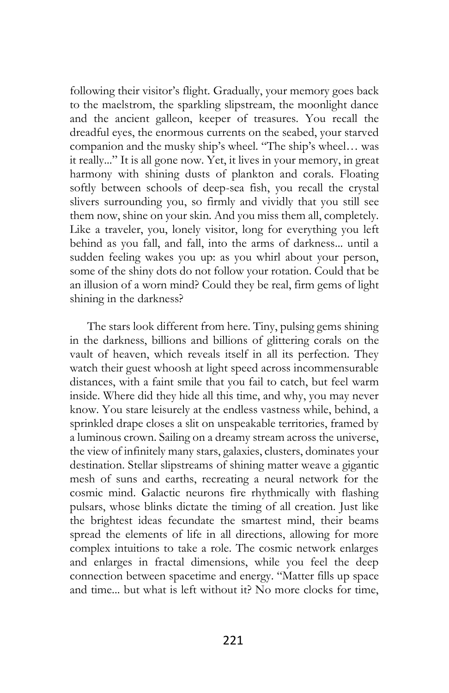following their visitor's flight. Gradually, your memory goes back to the maelstrom, the sparkling slipstream, the moonlight dance and the ancient galleon, keeper of treasures. You recall the dreadful eyes, the enormous currents on the seabed, your starved companion and the musky ship's wheel. "The ship's wheel… was it really..." It is all gone now. Yet, it lives in your memory, in great harmony with shining dusts of plankton and corals. Floating softly between schools of deep-sea fish, you recall the crystal slivers surrounding you, so firmly and vividly that you still see them now, shine on your skin. And you miss them all, completely. Like a traveler, you, lonely visitor, long for everything you left behind as you fall, and fall, into the arms of darkness... until a sudden feeling wakes you up: as you whirl about your person, some of the shiny dots do not follow your rotation. Could that be an illusion of a worn mind? Could they be real, firm gems of light shining in the darkness?

The stars look different from here. Tiny, pulsing gems shining in the darkness, billions and billions of glittering corals on the vault of heaven, which reveals itself in all its perfection. They watch their guest whoosh at light speed across incommensurable distances, with a faint smile that you fail to catch, but feel warm inside. Where did they hide all this time, and why, you may never know. You stare leisurely at the endless vastness while, behind, a sprinkled drape closes a slit on unspeakable territories, framed by a luminous crown. Sailing on a dreamy stream across the universe, the view of infinitely many stars, galaxies, clusters, dominates your destination. Stellar slipstreams of shining matter weave a gigantic mesh of suns and earths, recreating a neural network for the cosmic mind. Galactic neurons fire rhythmically with flashing pulsars, whose blinks dictate the timing of all creation. Just like the brightest ideas fecundate the smartest mind, their beams spread the elements of life in all directions, allowing for more complex intuitions to take a role. The cosmic network enlarges and enlarges in fractal dimensions, while you feel the deep connection between spacetime and energy. "Matter fills up space and time... but what is left without it? No more clocks for time,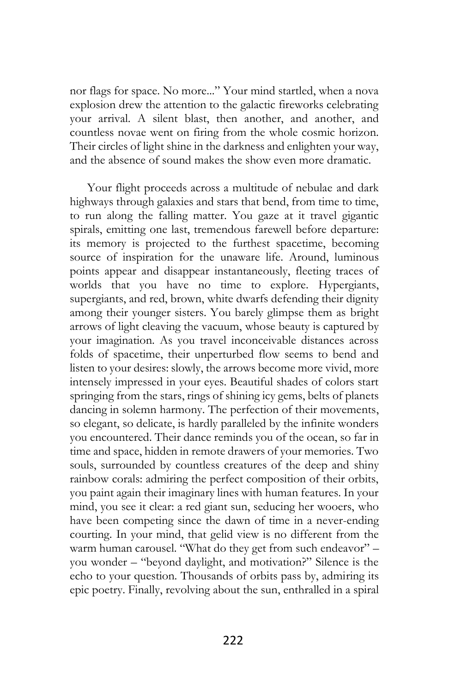nor flags for space. No more..." Your mind startled, when a nova explosion drew the attention to the galactic fireworks celebrating your arrival. A silent blast, then another, and another, and countless novae went on firing from the whole cosmic horizon. Their circles of light shine in the darkness and enlighten your way, and the absence of sound makes the show even more dramatic.

Your flight proceeds across a multitude of nebulae and dark highways through galaxies and stars that bend, from time to time, to run along the falling matter. You gaze at it travel gigantic spirals, emitting one last, tremendous farewell before departure: its memory is projected to the furthest spacetime, becoming source of inspiration for the unaware life. Around, luminous points appear and disappear instantaneously, fleeting traces of worlds that you have no time to explore. Hypergiants, supergiants, and red, brown, white dwarfs defending their dignity among their younger sisters. You barely glimpse them as bright arrows of light cleaving the vacuum, whose beauty is captured by your imagination. As you travel inconceivable distances across folds of spacetime, their unperturbed flow seems to bend and listen to your desires: slowly, the arrows become more vivid, more intensely impressed in your eyes. Beautiful shades of colors start springing from the stars, rings of shining icy gems, belts of planets dancing in solemn harmony. The perfection of their movements, so elegant, so delicate, is hardly paralleled by the infinite wonders you encountered. Their dance reminds you of the ocean, so far in time and space, hidden in remote drawers of your memories. Two souls, surrounded by countless creatures of the deep and shiny rainbow corals: admiring the perfect composition of their orbits, you paint again their imaginary lines with human features. In your mind, you see it clear: a red giant sun, seducing her wooers, who have been competing since the dawn of time in a never-ending courting. In your mind, that gelid view is no different from the warm human carousel. "What do they get from such endeavor" you wonder – "beyond daylight, and motivation?" Silence is the echo to your question. Thousands of orbits pass by, admiring its epic poetry. Finally, revolving about the sun, enthralled in a spiral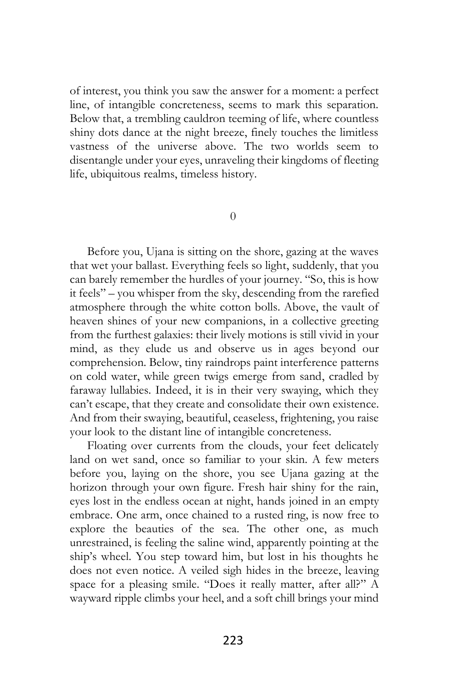of interest, you think you saw the answer for a moment: a perfect line, of intangible concreteness, seems to mark this separation. Below that, a trembling cauldron teeming of life, where countless shiny dots dance at the night breeze, finely touches the limitless vastness of the universe above. The two worlds seem to disentangle under your eyes, unraveling their kingdoms of fleeting life, ubiquitous realms, timeless history.

0

Before you, Ujana is sitting on the shore, gazing at the waves that wet your ballast. Everything feels so light, suddenly, that you can barely remember the hurdles of your journey. "So, this is how it feels" – you whisper from the sky, descending from the rarefied atmosphere through the white cotton bolls. Above, the vault of heaven shines of your new companions, in a collective greeting from the furthest galaxies: their lively motions is still vivid in your mind, as they elude us and observe us in ages beyond our comprehension. Below, tiny raindrops paint interference patterns on cold water, while green twigs emerge from sand, cradled by faraway lullabies. Indeed, it is in their very swaying, which they can't escape, that they create and consolidate their own existence. And from their swaying, beautiful, ceaseless, frightening, you raise your look to the distant line of intangible concreteness.

Floating over currents from the clouds, your feet delicately land on wet sand, once so familiar to your skin. A few meters before you, laying on the shore, you see Ujana gazing at the horizon through your own figure. Fresh hair shiny for the rain, eyes lost in the endless ocean at night, hands joined in an empty embrace. One arm, once chained to a rusted ring, is now free to explore the beauties of the sea. The other one, as much unrestrained, is feeling the saline wind, apparently pointing at the ship's wheel. You step toward him, but lost in his thoughts he does not even notice. A veiled sigh hides in the breeze, leaving space for a pleasing smile. "Does it really matter, after all?" A wayward ripple climbs your heel, and a soft chill brings your mind